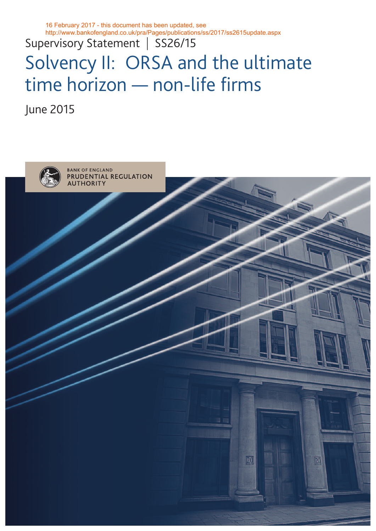16 February 2017 - this document has been updated, see http://www.bankofengland.co.uk/pra/Pages/publications/ss/2017/ss2615update.aspx

Supervisory Statement | SS26/15

# Solvency II: ORSA and the ultimate time horizon — non-life firms

June 2015

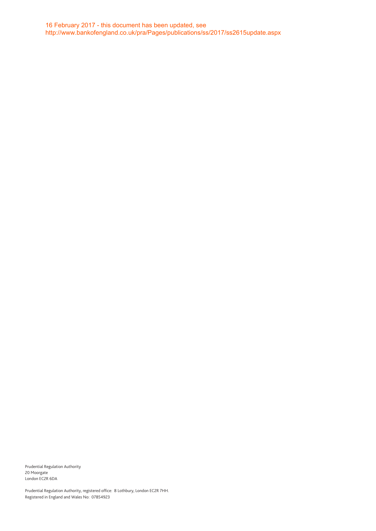Prudential Regulation Authority 20 Moorgate London EC2R 6DA

Prudential Regulation Authority, registered office: 8 Lothbury, London EC2R 7HH. Registered in England and Wales No: 07854923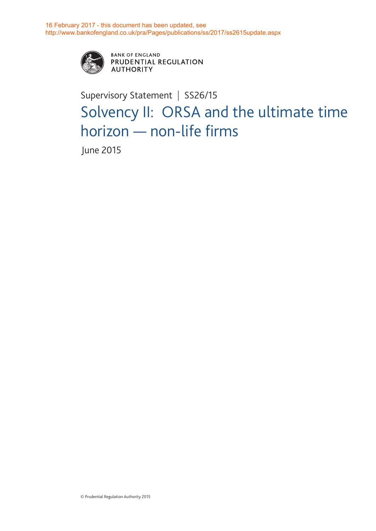

**BANK OF ENGLAND** PRUDENTIAL REGULATION **AUTHORITY** 

## Supervisory Statement | SS26/15 Solvency II: ORSA and the ultimate time horizon — non-life firms

June 2015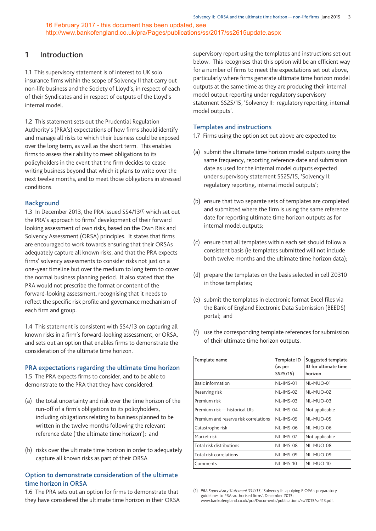### **1 Introduction**

1.1 This supervisory statement is of interest to UK solo insurance firms within the scope of Solvency II that carry out non-life business and the Society of Lloyd's, in respect of each of their Syndicates and in respect of outputs of the Lloyd's internal model.

1.2 This statement sets out the Prudential Regulation Authority's (PRA's) expectations of how firms should identify and manage all risks to which their business could be exposed over the long term, as well as the short term. This enables firms to assess their ability to meet obligations to its policyholders in the event that the firm decides to cease writing business beyond that which it plans to write over the next twelve months, and to meet those obligations in stressed conditions.

#### **Background**

1.3 In December 2013, the PRA issued SS4/13(1) which set out the PRA's approach to firms' development of their forward looking assessment of own risks, based on the Own Risk and Solvency Assessment (ORSA) principles. It states that firms are encouraged to work towards ensuring that their ORSAs adequately capture all known risks, and that the PRA expects firms' solvency assessments to consider risks not just on a one-year timeline but over the medium to long term to cover the normal business planning period. It also stated that the PRA would not prescribe the format or content of the forward-looking assessment, recognising that it needs to reflect the specific risk profile and governance mechanism of each firm and group.

1.4 This statement is consistent with SS4/13 on capturing all known risks in a firm's forward-looking assessment, or ORSA, and sets out an option that enables firms to demonstrate the consideration of the ultimate time horizon.

#### **PRA expectations regarding the ultimate time horizon**

1.5 The PRA expects firms to consider, and to be able to demonstrate to the PRA that they have considered:

- (a) the total uncertainty and risk over the time horizon of the run-off of a firm's obligations to its policyholders, including obligations relating to business planned to be written in the twelve months following the relevant reference date ('the ultimate time horizon'); and
- (b) risks over the ultimate time horizon in order to adequately capture all known risks as part of their ORSA

#### **Option to demonstrate consideration of the ultimate time horizon in ORSA**

1.6 The PRA sets out an option for firms to demonstrate that they have considered the ultimate time horizon in their ORSA supervisory report using the templates and instructions set out below. This recognises that this option will be an efficient way for a number of firms to meet the expectations set out above, particularly where firms generate ultimate time horizon model outputs at the same time as they are producing their internal model output reporting under regulatory supervisory statement SS25/15, 'Solvency II: regulatory reporting, internal model outputs'.

#### **Templates and instructions**

1.7 Firms using the option set out above are expected to:

- (a) submit the ultimate time horizon model outputs using the same frequency, reporting reference date and submission date as used for the internal model outputs expected under supervisory statement SS25/15, 'Solvency II: regulatory reporting, internal model outputs';
- (b) ensure that two separate sets of templates are completed and submitted where the firm is using the same reference date for reporting ultimate time horizon outputs as for internal model outputs;
- (c) ensure that all templates within each set should follow a consistent basis (ie templates submitted will not include both twelve months and the ultimate time horizon data);
- (d) prepare the templates on the basis selected in cell Z0310 in those templates;
- (e) submit the templates in electronic format Excel files via the Bank of England Electronic Data Submission (BEEDS) portal; and
- (f) use the corresponding template references for submission of their ultimate time horizon outputs.

| Template name                         | Template ID<br>(as per<br>SS25/15) | Suggested template<br>ID for ultimate time<br>horizon |
|---------------------------------------|------------------------------------|-------------------------------------------------------|
| <b>Basic information</b>              | NL-IMS-01                          | NL-MUO-01                                             |
| Reserving risk                        | $NL-IMS-02$                        | NL-MUO-02                                             |
| Premium risk                          | $NL-IMS-03$                        | NL-MUO-03                                             |
| Premium risk - historical LRs         | NL-IMS-04                          | Not applicable                                        |
| Premium and reserve risk correlations | NL-IMS-05                          | NL-MUO-05                                             |
| Catastrophe risk                      | NL-IMS-06                          | NL-MUO-06                                             |
| Market risk                           | NL-IMS-07                          | Not applicable                                        |
| Total risk distributions              | NL-IMS-08                          | NL-MUO-08                                             |
| Total risk correlations               | $NL-IMS-09$                        | NL-MUO-09                                             |
| Comments                              | NL-IMS-10                          | NL-MUO-10                                             |

<sup>(1)</sup> *PRA Supervisory Statement SS4/13*, 'Solvency II: applying EIOPA's preparatory guidelines to PRA-authorised firms', December 2013 www.bankofengland.co.uk/pra/Documents/publications/ss/2013/ss413.pdf.